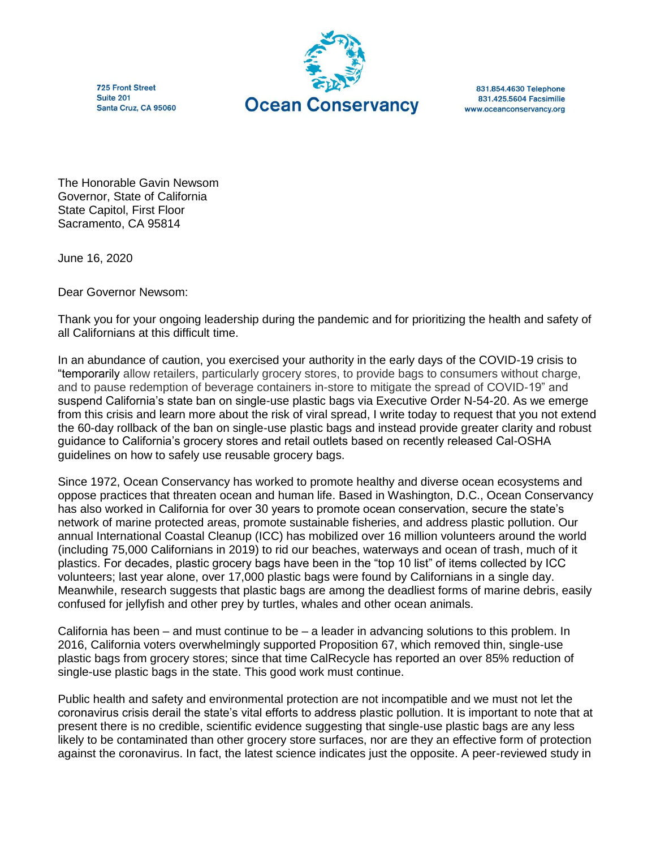725 Front Street Suite 201 Santa Cruz, CA 95060



831.854.4630 Telephone 831.425.5604 Facsimilie www.oceanconservancy.org

The Honorable Gavin Newsom Governor, State of California State Capitol, First Floor Sacramento, CA 95814

June 16, 2020

Dear Governor Newsom:

Thank you for your ongoing leadership during the pandemic and for prioritizing the health and safety of all Californians at this difficult time.

In an abundance of caution, you exercised your authority in the early days of the COVID-19 crisis to "temporarily allow retailers, particularly grocery stores, to provide bags to consumers without charge, and to pause redemption of beverage containers in-store to mitigate the spread of COVID-19" and suspend California's state ban on single-use plastic bags via Executive Order N-54-20. As we emerge from this crisis and learn more about the risk of viral spread, I write today to request that you not extend the 60-day rollback of the ban on single-use plastic bags and instead provide greater clarity and robust guidance to California's grocery stores and retail outlets based on recently released Cal-OSHA guidelines on how to safely use reusable grocery bags.

Since 1972, Ocean Conservancy has worked to promote healthy and diverse ocean ecosystems and oppose practices that threaten ocean and human life. Based in Washington, D.C., Ocean Conservancy has also worked in California for over 30 years to promote ocean conservation, secure the state's network of marine protected areas, promote sustainable fisheries, and address plastic pollution. Our annual International Coastal Cleanup (ICC) has mobilized over 16 million volunteers around the world (including 75,000 Californians in 2019) to rid our beaches, waterways and ocean of trash, much of it plastics. For decades, plastic grocery bags have been in the "top 10 list" of items collected by ICC volunteers; last year alone, over 17,000 plastic bags were found by Californians in a single day. Meanwhile, research suggests that plastic bags are among the deadliest forms of marine debris, easily confused for jellyfish and other prey by turtles, whales and other ocean animals.

California has been – and must continue to be – a leader in advancing solutions to this problem. In 2016, California voters overwhelmingly supported Proposition 67, which removed thin, single-use plastic bags from grocery stores; since that time CalRecycle has reported an over 85% reduction of single-use plastic bags in the state. This good work must continue.

Public health and safety and environmental protection are not incompatible and we must not let the coronavirus crisis derail the state's vital efforts to address plastic pollution. It is important to note that at present there is no credible, scientific evidence suggesting that single-use plastic bags are any less likely to be contaminated than other grocery store surfaces, nor are they an effective form of protection against the coronavirus. In fact, the latest science indicates just the opposite. A peer-reviewed study in